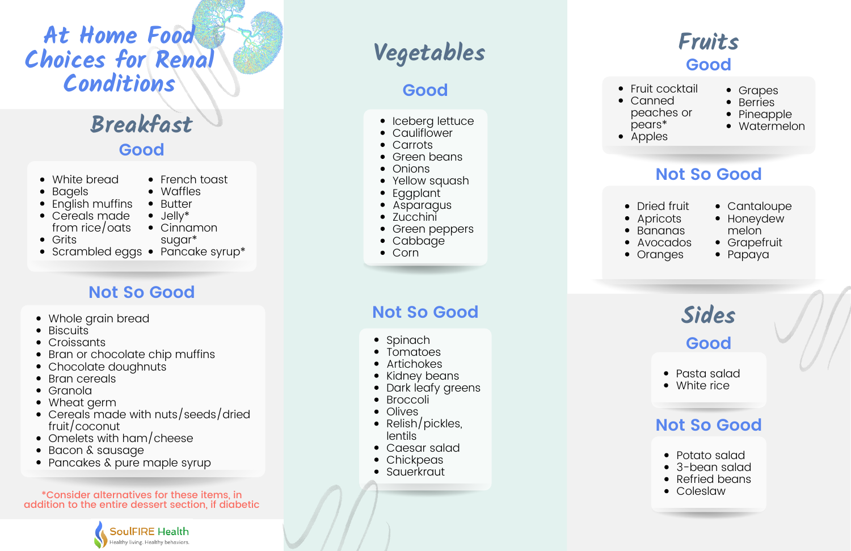# **A t H o m e Fo o d C h o i c e s fo r R e n a l**  $Conditions$

# **Veg e t a b l e s**

# **B re a kfa s t**



- Fruit cocktail • Canned peaches or pears\* • Apples
- Grapes
- **Berries**
- Pineapple
- Watermelon

### Not So Good

- Dried fruit
- **Apricots**
- Bananas
- Avocados
- Oranges
- Cantaloupe
- Honeydew
- m elo n Grapetruit
- Papaya

### **G o o d**

- White bread
- B a g els
- English muttins
- Cereals made from rice/oats
- Grits
- 
- French toast
- Wattles
- Butter J elly \*
- Cinnamon
- sugar\*
- Scrambled eggs Pancake syrup\*

# Not So Good

- Whole grain bread
- Biscuits
- Croissants
- Bran or chocolate chip muffins
- Chocolate doughnuts
- Bran cereals
- Granola
- Wheat germ
- Cereals made with nuts/seeds/dried truit/coconut ordst<br>
ordst<br>
on<br>
a syrup\*<br>
a b CC<br>
a b CC<br>
a b CC<br>
a b CC<br>
a b Dar<br>
a b Dar<br>
ds/dried<br>
p<br>
p<br>
c Ca<br>
c Ca<br>
c B<br>
c B<br>
c CC<br>
c CC<br>
c CC<br>
c CC<br>
c Dar<br>
a b Tor<br>
c Dar<br>
b Dar<br>
b Dar<br>
b Dar<br>
b Dar<br>
b Dar<br>
b Dar<br>
b Dar<br>
b Dar<br>
b D
- Omelets with ham/cheese
- Bacon & sausage
- Pancakes & pure maple syru<sub>l</sub>

 $\displaystyle{{\rm *Consider\,}$  alternatives for these items, in addition to the entire dessert section, if diabetic



# **G o o d**

- eberg lettuce
- Caulitlower
- Carrots
- Green beans
- Onions
- Yellow squash
- Eggplant
- Asparagus
- Zucchini
- Green peppers
- Cabbage
- Corn

# Not So Good

- Spinach
- Tomatoes
- Artichokes
- Kidney beans
- Dark leaty greens
- Broccoli
- Olives
- Relish/pic kle s, lentils
- Caesar salad
- Chickpeas
- Sauerkraut

**S i d e s G o o d**

- Pasta salad
- White rice

### Not So Good

- Potato salad
- 3-bean salad
- Refried beans
- Coleslaw